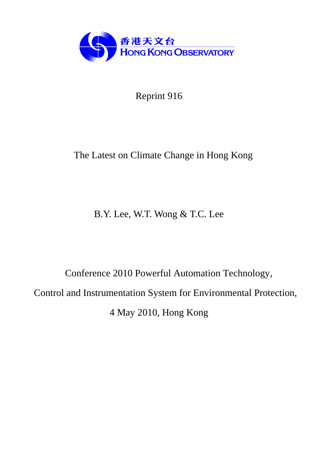

Reprint 916

# The Latest on Climate Change in Hong Kong

B.Y. Lee, W.T. Wong & T.C. Lee

Conference 2010 Powerful Automation Technology, Control and Instrumentation System for Environmental Protection, 4 May 2010, Hong Kong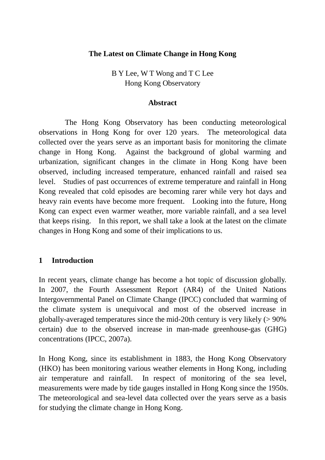### **The Latest on Climate Change in Hong Kong**

B Y Lee, W T Wong and T C Lee Hong Kong Observatory

#### **Abstract**

 The Hong Kong Observatory has been conducting meteorological observations in Hong Kong for over 120 years. The meteorological data collected over the years serve as an important basis for monitoring the climate change in Hong Kong. Against the background of global warming and urbanization, significant changes in the climate in Hong Kong have been observed, including increased temperature, enhanced rainfall and raised sea level. Studies of past occurrences of extreme temperature and rainfall in Hong Kong revealed that cold episodes are becoming rarer while very hot days and heavy rain events have become more frequent. Looking into the future, Hong Kong can expect even warmer weather, more variable rainfall, and a sea level that keeps rising. In this report, we shall take a look at the latest on the climate changes in Hong Kong and some of their implications to us.

#### **1 Introduction**

In recent years, climate change has become a hot topic of discussion globally. In 2007, the Fourth Assessment Report (AR4) of the United Nations Intergovernmental Panel on Climate Change (IPCC) concluded that warming of the climate system is unequivocal and most of the observed increase in globally-averaged temperatures since the mid-20th century is very likely (> 90% certain) due to the observed increase in man-made greenhouse-gas (GHG) concentrations (IPCC, 2007a).

In Hong Kong, since its establishment in 1883, the Hong Kong Observatory (HKO) has been monitoring various weather elements in Hong Kong, including air temperature and rainfall. In respect of monitoring of the sea level, measurements were made by tide gauges installed in Hong Kong since the 1950s. The meteorological and sea-level data collected over the years serve as a basis for studying the climate change in Hong Kong.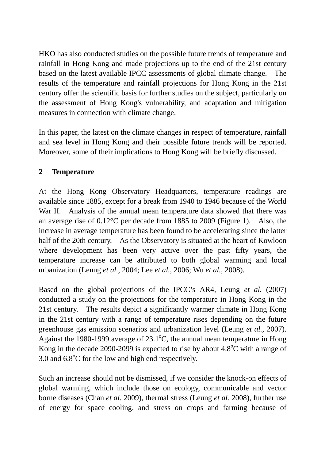HKO has also conducted studies on the possible future trends of temperature and rainfall in Hong Kong and made projections up to the end of the 21st century based on the latest available IPCC assessments of global climate change. The results of the temperature and rainfall projections for Hong Kong in the 21st century offer the scientific basis for further studies on the subject, particularly on the assessment of Hong Kong's vulnerability, and adaptation and mitigation measures in connection with climate change.

In this paper, the latest on the climate changes in respect of temperature, rainfall and sea level in Hong Kong and their possible future trends will be reported. Moreover, some of their implications to Hong Kong will be briefly discussed.

# **2 Temperature**

At the Hong Kong Observatory Headquarters, temperature readings are available since 1885, except for a break from 1940 to 1946 because of the World War II. Analysis of the annual mean temperature data showed that there was an average rise of 0.12°C per decade from 1885 to 2009 (Figure 1). Also, the increase in average temperature has been found to be accelerating since the latter half of the 20th century. As the Observatory is situated at the heart of Kowloon where development has been very active over the past fifty years, the temperature increase can be attributed to both global warming and local urbanization (Leung *et al.*, 2004; Lee *et al.*, 2006; Wu *et al.*, 2008).

Based on the global projections of the IPCC's AR4, Leung *et al.* (2007) conducted a study on the projections for the temperature in Hong Kong in the 21st century. The results depict a significantly warmer climate in Hong Kong in the 21st century with a range of temperature rises depending on the future greenhouse gas emission scenarios and urbanization level (Leung *et al.*, 2007). Against the 1980-1999 average of  $23.1^{\circ}$ C, the annual mean temperature in Hong Kong in the decade 2090-2099 is expected to rise by about  $4.8^{\circ}$ C with a range of 3.0 and  $6.8^{\circ}$ C for the low and high end respectively.

Such an increase should not be dismissed, if we consider the knock-on effects of global warming, which include those on ecology, communicable and vector borne diseases (Chan *et al.* 2009), thermal stress (Leung *et al.* 2008), further use of energy for space cooling, and stress on crops and farming because of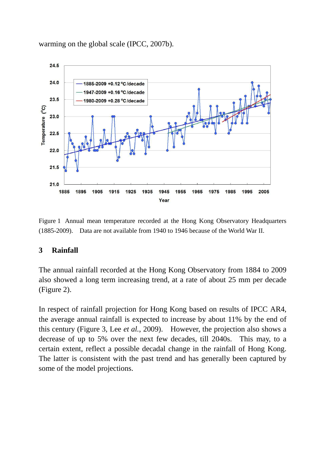

warming on the global scale (IPCC, 2007b).

Figure 1 Annual mean temperature recorded at the Hong Kong Observatory Headquarters (1885-2009). Data are not available from 1940 to 1946 because of the World War II.

#### **3 Rainfall**

The annual rainfall recorded at the Hong Kong Observatory from 1884 to 2009 also showed a long term increasing trend, at a rate of about 25 mm per decade (Figure 2).

In respect of rainfall projection for Hong Kong based on results of IPCC AR4, the average annual rainfall is expected to increase by about 11% by the end of this century (Figure 3, Lee *et al.*, 2009). However, the projection also shows a decrease of up to 5% over the next few decades, till 2040s. This may, to a certain extent, reflect a possible decadal change in the rainfall of Hong Kong. The latter is consistent with the past trend and has generally been captured by some of the model projections.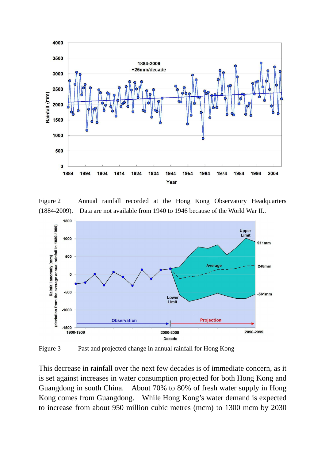

Figure 2 Annual rainfall recorded at the Hong Kong Observatory Headquarters (1884-2009). Data are not available from 1940 to 1946 because of the World War II..



Figure 3 Past and projected change in annual rainfall for Hong Kong

This decrease in rainfall over the next few decades is of immediate concern, as it is set against increases in water consumption projected for both Hong Kong and Guangdong in south China. About 70% to 80% of fresh water supply in Hong Kong comes from Guangdong. While Hong Kong's water demand is expected to increase from about 950 million cubic metres (mcm) to 1300 mcm by 2030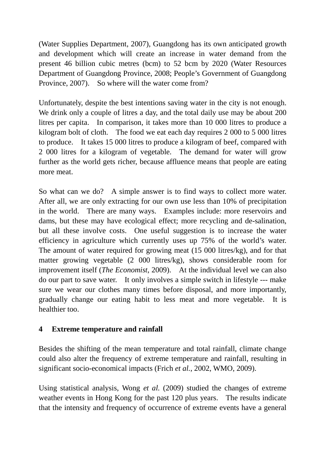(Water Supplies Department, 2007), Guangdong has its own anticipated growth and development which will create an increase in water demand from the present 46 billion cubic metres (bcm) to 52 bcm by 2020 (Water Resources Department of Guangdong Province, 2008; People's Government of Guangdong Province, 2007). So where will the water come from?

Unfortunately, despite the best intentions saving water in the city is not enough. We drink only a couple of litres a day, and the total daily use may be about 200 litres per capita. In comparison, it takes more than 10 000 litres to produce a kilogram bolt of cloth. The food we eat each day requires 2 000 to 5 000 litres to produce. It takes 15 000 litres to produce a kilogram of beef, compared with 2 000 litres for a kilogram of vegetable. The demand for water will grow further as the world gets richer, because affluence means that people are eating more meat.

So what can we do? A simple answer is to find ways to collect more water. After all, we are only extracting for our own use less than 10% of precipitation in the world. There are many ways. Examples include: more reservoirs and dams, but these may have ecological effect; more recycling and de-salination, but all these involve costs. One useful suggestion is to increase the water efficiency in agriculture which currently uses up 75% of the world's water. The amount of water required for growing meat (15 000 litres/kg), and for that matter growing vegetable (2 000 litres/kg), shows considerable room for improvement itself (*The Economist*, 2009). At the individual level we can also do our part to save water. It only involves a simple switch in lifestyle --- make sure we wear our clothes many times before disposal, and more importantly, gradually change our eating habit to less meat and more vegetable. It is healthier too.

## **4 Extreme temperature and rainfall**

Besides the shifting of the mean temperature and total rainfall, climate change could also alter the frequency of extreme temperature and rainfall, resulting in significant socio-economical impacts (Frich *et al.*, 2002, WMO, 2009).

Using statistical analysis, Wong *et al.* (2009) studied the changes of extreme weather events in Hong Kong for the past 120 plus years. The results indicate that the intensity and frequency of occurrence of extreme events have a general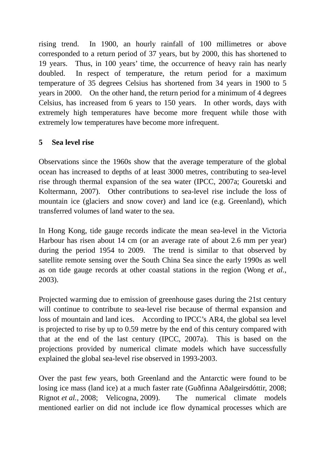rising trend. In 1900, an hourly rainfall of 100 millimetres or above corresponded to a return period of 37 years, but by 2000, this has shortened to 19 years. Thus, in 100 years' time, the occurrence of heavy rain has nearly doubled. In respect of temperature, the return period for a maximum temperature of 35 degrees Celsius has shortened from 34 years in 1900 to 5 years in 2000. On the other hand, the return period for a minimum of 4 degrees Celsius, has increased from 6 years to 150 years. In other words, days with extremely high temperatures have become more frequent while those with extremely low temperatures have become more infrequent.

# **5 Sea level rise**

Observations since the 1960s show that the average temperature of the global ocean has increased to depths of at least 3000 metres, contributing to sea-level rise through thermal expansion of the sea water (IPCC, 2007a; Gouretski and Koltermann, 2007). Other contributions to sea-level rise include the loss of mountain ice (glaciers and snow cover) and land ice (e.g. Greenland), which transferred volumes of land water to the sea.

In Hong Kong, tide gauge records indicate the mean sea-level in the Victoria Harbour has risen about 14 cm (or an average rate of about 2.6 mm per year) during the period 1954 to 2009. The trend is similar to that observed by satellite remote sensing over the South China Sea since the early 1990s as well as on tide gauge records at other coastal stations in the region (Wong *et al.*, 2003).

Projected warming due to emission of greenhouse gases during the 21st century will continue to contribute to sea-level rise because of thermal expansion and loss of mountain and land ices. According to IPCC's AR4, the global sea level is projected to rise by up to 0.59 metre by the end of this century compared with that at the end of the last century (IPCC, 2007a). This is based on the projections provided by numerical climate models which have successfully explained the global sea-level rise observed in 1993-2003.

Over the past few years, both Greenland and the Antarctic were found to be losing ice mass (land ice) at a much faster rate (Guðfinna Aðalgeirsdóttir, 2008; Rignot *et al.*, 2008; Velicogna, 2009). The numerical climate models mentioned earlier on did not include ice flow dynamical processes which are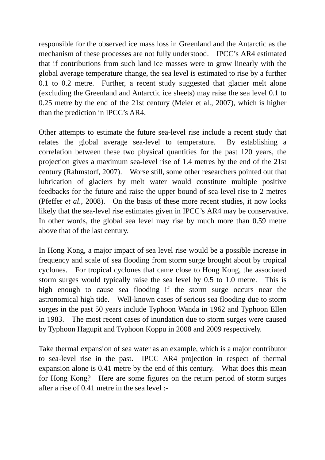responsible for the observed ice mass loss in Greenland and the Antarctic as the mechanism of these processes are not fully understood. IPCC's AR4 estimated that if contributions from such land ice masses were to grow linearly with the global average temperature change, the sea level is estimated to rise by a further 0.1 to 0.2 metre. Further, a recent study suggested that glacier melt alone (excluding the Greenland and Antarctic ice sheets) may raise the sea level 0.1 to 0.25 metre by the end of the 21st century (Meier et al., 2007), which is higher than the prediction in IPCC's AR4.

Other attempts to estimate the future sea-level rise include a recent study that relates the global average sea-level to temperature. By establishing a correlation between these two physical quantities for the past 120 years, the projection gives a maximum sea-level rise of 1.4 metres by the end of the 21st century (Rahmstorf, 2007). Worse still, some other researchers pointed out that lubrication of glaciers by melt water would constitute multiple positive feedbacks for the future and raise the upper bound of sea-level rise to 2 metres (Pfeffer *et al.*, 2008). On the basis of these more recent studies, it now looks likely that the sea-level rise estimates given in IPCC's AR4 may be conservative. In other words, the global sea level may rise by much more than 0.59 metre above that of the last century.

In Hong Kong, a major impact of sea level rise would be a possible increase in frequency and scale of sea flooding from storm surge brought about by tropical cyclones. For tropical cyclones that came close to Hong Kong, the associated storm surges would typically raise the sea level by 0.5 to 1.0 metre. This is high enough to cause sea flooding if the storm surge occurs near the astronomical high tide. Well-known cases of serious sea flooding due to storm surges in the past 50 years include Typhoon Wanda in 1962 and Typhoon Ellen in 1983. The most recent cases of inundation due to storm surges were caused by Typhoon Hagupit and Typhoon Koppu in 2008 and 2009 respectively.

Take thermal expansion of sea water as an example, which is a major contributor to sea-level rise in the past. IPCC AR4 projection in respect of thermal expansion alone is 0.41 metre by the end of this century. What does this mean for Hong Kong? Here are some figures on the return period of storm surges after a rise of  $0.41$  metre in the sea level :-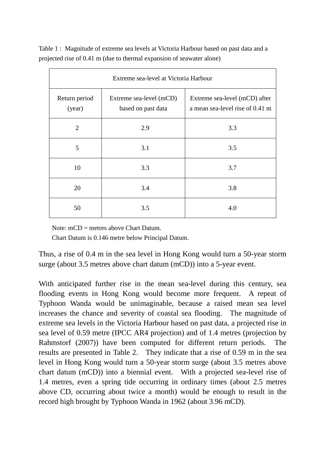Table 1 : Magnitude of extreme sea levels at Victoria Harbour based on past data and a projected rise of 0.41 m (due to thermal expansion of seawater alone)

| Extreme sea-level at Victoria Harbour |                                               |                                                                  |  |  |
|---------------------------------------|-----------------------------------------------|------------------------------------------------------------------|--|--|
| Return period<br>(year)               | Extreme sea-level (mCD)<br>based on past data | Extreme sea-level (mCD) after<br>a mean sea-level rise of 0.41 m |  |  |
| $\overline{2}$                        | 2.9                                           | 3.3                                                              |  |  |
| 5                                     | 3.1                                           | 3.5                                                              |  |  |
| 10                                    | 3.3                                           | 3.7                                                              |  |  |
| 20                                    | 3.4                                           | 3.8                                                              |  |  |
| 50                                    | 3.5                                           | 4.0                                                              |  |  |

Note: mCD = metres above Chart Datum.

Chart Datum is 0.146 metre below Principal Datum.

Thus, a rise of 0.4 m in the sea level in Hong Kong would turn a 50-year storm surge (about 3.5 metres above chart datum (mCD)) into a 5-year event.

With anticipated further rise in the mean sea-level during this century, sea flooding events in Hong Kong would become more frequent. A repeat of Typhoon Wanda would be unimaginable, because a raised mean sea level increases the chance and severity of coastal sea flooding. The magnitude of extreme sea levels in the Victoria Harbour based on past data, a projected rise in sea level of 0.59 metre (IPCC AR4 projection) and of 1.4 metres (projection by Rahmstorf (2007)) have been computed for different return periods. The results are presented in Table 2. They indicate that a rise of 0.59 m in the sea level in Hong Kong would turn a 50-year storm surge (about 3.5 metres above chart datum (mCD)) into a biennial event. With a projected sea-level rise of 1.4 metres, even a spring tide occurring in ordinary times (about 2.5 metres above CD, occurring about twice a month) would be enough to result in the record high brought by Typhoon Wanda in 1962 (about 3.96 mCD).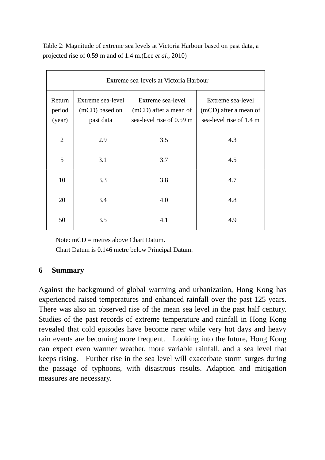Table 2: Magnitude of extreme sea levels at Victoria Harbour based on past data, a projected rise of 0.59 m and of 1.4 m.(Lee *et al.*, 2010)

| Extreme sea-levels at Victoria Harbour |                                                  |                                                                        |                                                                       |  |
|----------------------------------------|--------------------------------------------------|------------------------------------------------------------------------|-----------------------------------------------------------------------|--|
| Return<br>period<br>(year)             | Extreme sea-level<br>(mCD) based on<br>past data | Extreme sea-level<br>(mCD) after a mean of<br>sea-level rise of 0.59 m | Extreme sea-level<br>(mCD) after a mean of<br>sea-level rise of 1.4 m |  |
| 2                                      | 2.9                                              | 3.5                                                                    | 4.3                                                                   |  |
| 5                                      | 3.1                                              | 3.7                                                                    | 4.5                                                                   |  |
| 10                                     | 3.3                                              | 3.8                                                                    | 4.7                                                                   |  |
| 20                                     | 3.4                                              | 4.0                                                                    | 4.8                                                                   |  |
| 50                                     | 3.5                                              | 4.1                                                                    | 4.9                                                                   |  |

Note: mCD = metres above Chart Datum.

Chart Datum is 0.146 metre below Principal Datum.

## **6 Summary**

Against the background of global warming and urbanization, Hong Kong has experienced raised temperatures and enhanced rainfall over the past 125 years. There was also an observed rise of the mean sea level in the past half century. Studies of the past records of extreme temperature and rainfall in Hong Kong revealed that cold episodes have become rarer while very hot days and heavy rain events are becoming more frequent. Looking into the future, Hong Kong can expect even warmer weather, more variable rainfall, and a sea level that keeps rising. Further rise in the sea level will exacerbate storm surges during the passage of typhoons, with disastrous results. Adaption and mitigation measures are necessary.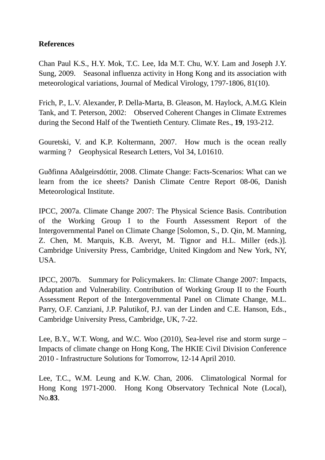## **References**

Chan Paul K.S., H.Y. Mok, T.C. Lee, Ida M.T. Chu, W.Y. Lam and Joseph J.Y. Sung, 2009. Seasonal influenza activity in Hong Kong and its association with meteorological variations, Journal of Medical Virology, 1797-1806, 81(10).

Frich, P., L.V. Alexander, P. Della-Marta, B. Gleason, M. Haylock, A.M.G. Klein Tank, and T. Peterson, 2002: Observed Coherent Changes in Climate Extremes during the Second Half of the Twentieth Century. Climate Res., **19**, 193-212.

Gouretski, V. and K.P. Koltermann, 2007. How much is the ocean really warming ? Geophysical Research Letters, Vol 34, L01610.

Guðfinna Aðalgeirsdóttir, 2008. Climate Change: Facts-Scenarios: What can we learn from the ice sheets? Danish Climate Centre Report 08-06, Danish Meteorological Institute.

IPCC, 2007a. Climate Change 2007: The Physical Science Basis. Contribution of the Working Group I to the Fourth Assessment Report of the Intergovernmental Panel on Climate Change [Solomon, S., D. Qin, M. Manning, Z. Chen, M. Marquis, K.B. Averyt, M. Tignor and H.L. Miller (eds.)]. Cambridge University Press, Cambridge, United Kingdom and New York, NY, USA.

IPCC, 2007b. Summary for Policymakers. In: Climate Change 2007: Impacts, Adaptation and Vulnerability. Contribution of Working Group II to the Fourth Assessment Report of the Intergovernmental Panel on Climate Change, M.L. Parry, O.F. Canziani, J.P. Palutikof, P.J. van der Linden and C.E. Hanson, Eds., Cambridge University Press, Cambridge, UK, 7-22.

Lee, B.Y., W.T. Wong, and W.C. Woo (2010), Sea-level rise and storm surge – Impacts of climate change on Hong Kong, The HKIE Civil Division Conference 2010 - Infrastructure Solutions for Tomorrow, 12-14 April 2010.

Lee, T.C., W.M. Leung and K.W. Chan, 2006. Climatological Normal for Hong Kong 1971-2000. Hong Kong Observatory Technical Note (Local), No.**83**.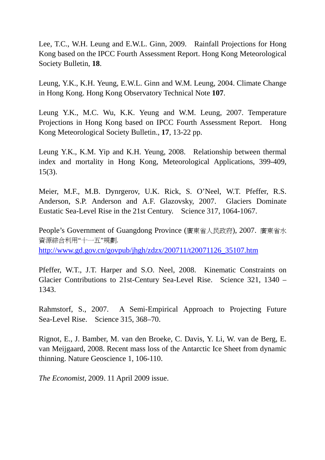Lee, T.C., W.H. Leung and E.W.L. Ginn, 2009. Rainfall Projections for Hong Kong based on the IPCC Fourth Assessment Report. Hong Kong Meteorological Society Bulletin, **18**.

Leung, Y.K., K.H. Yeung, E.W.L. Ginn and W.M. Leung, 2004. Climate Change in Hong Kong. Hong Kong Observatory Technical Note **107**.

Leung Y.K., M.C. Wu, K.K. Yeung and W.M. Leung, 2007. Temperature Projections in Hong Kong based on IPCC Fourth Assessment Report. Hong Kong Meteorological Society Bulletin., **17**, 13-22 pp.

Leung Y.K., K.M. Yip and K.H. Yeung, 2008. Relationship between thermal index and mortality in Hong Kong, Meteorological Applications, 399-409, 15(3).

Meier, M.F., M.B. Dynrgerov, U.K. Rick, S. O'Neel, W.T. Pfeffer, R.S. Anderson, S.P. Anderson and A.F. Glazovsky, 2007. Glaciers Dominate Eustatic Sea-Level Rise in the 21st Century. Science 317, 1064-1067.

People's Government of Guangdong Province (廣東省人民政府), 2007. 廣東省水 資源綜合利用"十一五"規劃. http://www.gd.gov.cn/govpub/jhgh/zdzx/200711/t20071126\_35107.htm

Pfeffer, W.T., J.T. Harper and S.O. Neel, 2008. Kinematic Constraints on Glacier Contributions to 21st-Century Sea-Level Rise. Science 321, 1340 – 1343.

Rahmstorf, S., 2007. A Semi-Empirical Approach to Projecting Future Sea-Level Rise. Science 315, 368–70.

Rignot, E., J. Bamber, M. van den Broeke, C. Davis, Y. Li, W. van de Berg, E. van Meijgaard, 2008. Recent mass loss of the Antarctic Ice Sheet from dynamic thinning. Nature Geoscience 1, 106-110.

*The Economist*, 2009. 11 April 2009 issue.